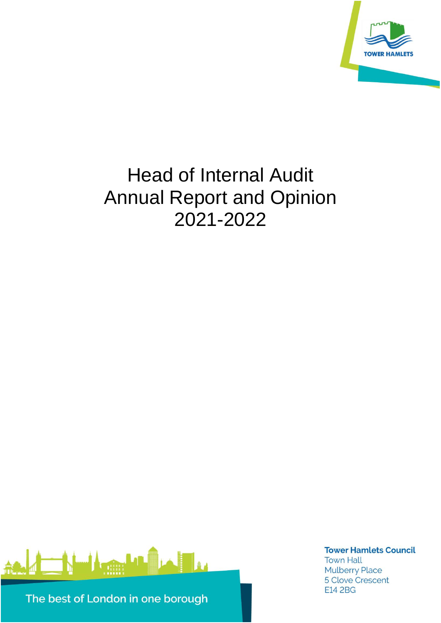

# Head of Internal Audit Annual Report and Opinion 2021-2022



**Tower Hamlets Council Town Hall Mulberry Place** 5 Clove Crescent **E14 2BG**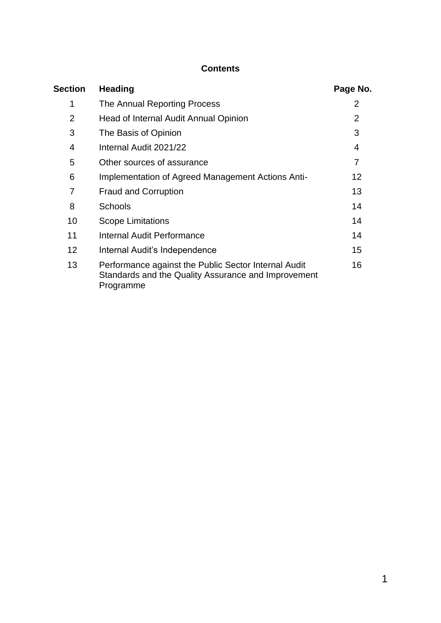## **Contents**

| <b>Section</b>    | <b>Heading</b>                                                                                                           | Page No.       |
|-------------------|--------------------------------------------------------------------------------------------------------------------------|----------------|
| 1                 | The Annual Reporting Process                                                                                             | 2              |
| 2                 | Head of Internal Audit Annual Opinion                                                                                    | $\overline{2}$ |
| 3                 | The Basis of Opinion                                                                                                     | 3              |
| 4                 | Internal Audit 2021/22                                                                                                   | 4              |
| 5                 | Other sources of assurance                                                                                               | 7              |
| 6                 | Implementation of Agreed Management Actions Anti-                                                                        | 12             |
| 7                 | <b>Fraud and Corruption</b>                                                                                              | 13             |
| 8                 | <b>Schools</b>                                                                                                           | 14             |
| 10                | <b>Scope Limitations</b>                                                                                                 | 14             |
| 11                | <b>Internal Audit Performance</b>                                                                                        | 14             |
| $12 \overline{ }$ | Internal Audit's Independence                                                                                            | 15             |
| 13                | Performance against the Public Sector Internal Audit<br>Standards and the Quality Assurance and Improvement<br>Programme | 16             |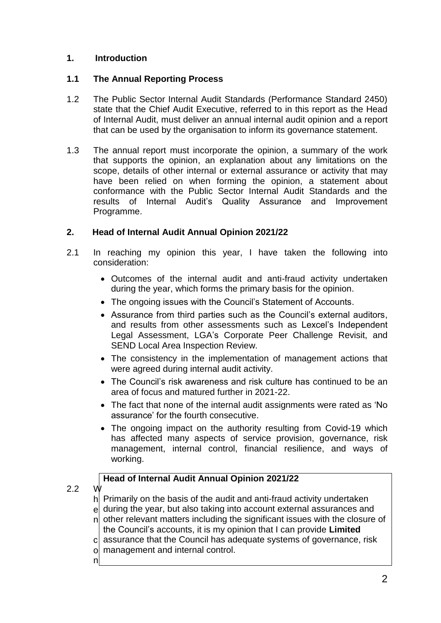## **1. Introduction**

## **1.1 The Annual Reporting Process**

- 1.2 The Public Sector Internal Audit Standards (Performance Standard 2450) state that the Chief Audit Executive, referred to in this report as the Head of Internal Audit, must deliver an annual internal audit opinion and a report that can be used by the organisation to inform its governance statement.
- 1.3 The annual report must incorporate the opinion, a summary of the work that supports the opinion, an explanation about any limitations on the scope, details of other internal or external assurance or activity that may have been relied on when forming the opinion, a statement about conformance with the Public Sector Internal Audit Standards and the results of Internal Audit's Quality Assurance and Improvement Programme.

## **2. Head of Internal Audit Annual Opinion 2021/22**

- 2.1 In reaching my opinion this year, I have taken the following into consideration:
	- Outcomes of the internal audit and anti-fraud activity undertaken during the year, which forms the primary basis for the opinion.
	- The ongoing issues with the Council's Statement of Accounts.
	- Assurance from third parties such as the Council's external auditors, and results from other assessments such as Lexcel's Independent Legal Assessment, LGA's Corporate Peer Challenge Revisit, and SEND Local Area Inspection Review.
	- The consistency in the implementation of management actions that were agreed during internal audit activity.
	- The Council's risk awareness and risk culture has continued to be an area of focus and matured further in 2021-22.
	- The fact that none of the internal audit assignments were rated as 'No assurance' for the fourth consecutive.
	- The ongoing impact on the authority resulting from Covid-19 which has affected many aspects of service provision, governance, risk management, internal control, financial resilience, and ways of working.

## **Head of Internal Audit Annual Opinion 2021/22**

- 2.2 W
	- h Primarily on the basis of the audit and anti-fraud activity undertaken
	- e during the year, but also taking into account external assurances and
	- n other relevant matters including the significant issues with the closure of the Council's accounts, it is my opinion that I can provide **Limited**
	- c assurance that the Council has adequate systems of governance, risk
	- o management and internal control.
	- n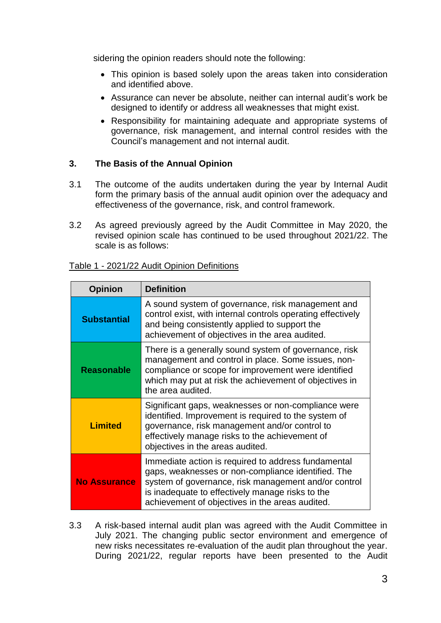sidering the opinion readers should note the following:

- This opinion is based solely upon the areas taken into consideration and identified above.
- Assurance can never be absolute, neither can internal audit's work be designed to identify or address all weaknesses that might exist.
- Responsibility for maintaining adequate and appropriate systems of governance, risk management, and internal control resides with the Council's management and not internal audit.

## **3. The Basis of the Annual Opinion**

- 3.1 The outcome of the audits undertaken during the year by Internal Audit form the primary basis of the annual audit opinion over the adequacy and effectiveness of the governance, risk, and control framework.
- 3.2 As agreed previously agreed by the Audit Committee in May 2020, the revised opinion scale has continued to be used throughout 2021/22. The scale is as follows:

| <b>Opinion</b>      | <b>Definition</b>                                                                                                                                                                                                                                                        |
|---------------------|--------------------------------------------------------------------------------------------------------------------------------------------------------------------------------------------------------------------------------------------------------------------------|
| <b>Substantial</b>  | A sound system of governance, risk management and<br>control exist, with internal controls operating effectively<br>and being consistently applied to support the<br>achievement of objectives in the area audited.                                                      |
| <b>Reasonable</b>   | There is a generally sound system of governance, risk<br>management and control in place. Some issues, non-<br>compliance or scope for improvement were identified<br>which may put at risk the achievement of objectives in<br>the area audited.                        |
| <b>Limited</b>      | Significant gaps, weaknesses or non-compliance were<br>identified. Improvement is required to the system of<br>governance, risk management and/or control to<br>effectively manage risks to the achievement of<br>objectives in the areas audited.                       |
| <b>No Assurance</b> | Immediate action is required to address fundamental<br>gaps, weaknesses or non-compliance identified. The<br>system of governance, risk management and/or control<br>is inadequate to effectively manage risks to the<br>achievement of objectives in the areas audited. |

## Table 1 - 2021/22 Audit Opinion Definitions

3.3 A risk-based internal audit plan was agreed with the Audit Committee in July 2021. The changing public sector environment and emergence of new risks necessitates re-evaluation of the audit plan throughout the year. During 2021/22, regular reports have been presented to the Audit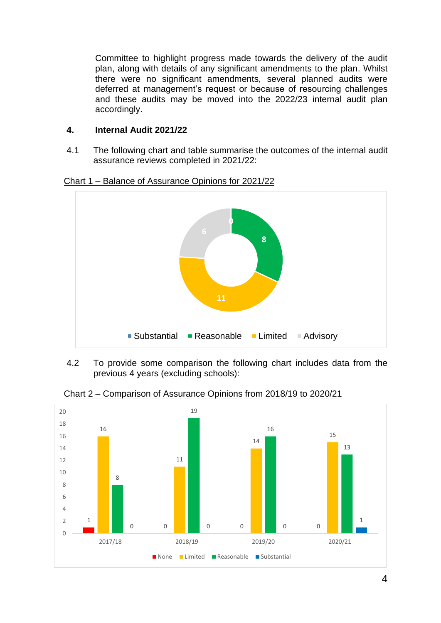Committee to highlight progress made towards the delivery of the audit plan, along with details of any significant amendments to the plan. Whilst there were no significant amendments, several planned audits were deferred at management's request or because of resourcing challenges and these audits may be moved into the 2022/23 internal audit plan accordingly.

#### **4. Internal Audit 2021/22**

4.1 The following chart and table summarise the outcomes of the internal audit assurance reviews completed in 2021/22:



Chart 1 – Balance of Assurance Opinions for 2021/22

4.2 To provide some comparison the following chart includes data from the previous 4 years (excluding schools):



Chart 2 – Comparison of Assurance Opinions from 2018/19 to 2020/21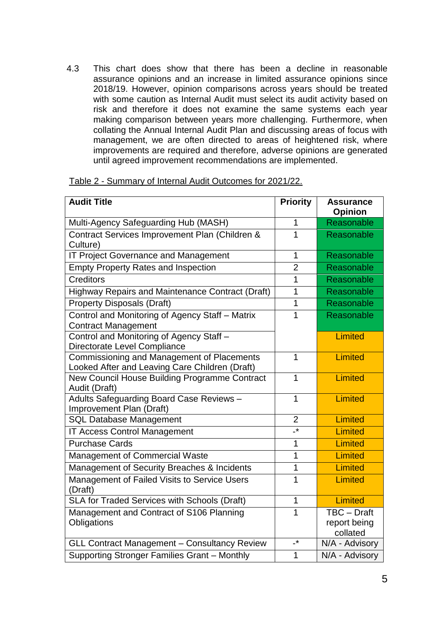4.3 This chart does show that there has been a decline in reasonable assurance opinions and an increase in limited assurance opinions since 2018/19. However, opinion comparisons across years should be treated with some caution as Internal Audit must select its audit activity based on risk and therefore it does not examine the same systems each year making comparison between years more challenging. Furthermore, when collating the Annual Internal Audit Plan and discussing areas of focus with management, we are often directed to areas of heightened risk, where improvements are required and therefore, adverse opinions are generated until agreed improvement recommendations are implemented.

| <b>Audit Title</b>                                                                           | <b>Priority</b> | <b>Assurance</b><br><b>Opinion</b>      |
|----------------------------------------------------------------------------------------------|-----------------|-----------------------------------------|
| Multi-Agency Safeguarding Hub (MASH)                                                         | 1               | Reasonable                              |
| Contract Services Improvement Plan (Children &<br>Culture)                                   | 1               | Reasonable                              |
| IT Project Governance and Management                                                         | 1               | Reasonable                              |
| <b>Empty Property Rates and Inspection</b>                                                   | $\overline{2}$  | Reasonable                              |
| Creditors                                                                                    | 1               | Reasonable                              |
| Highway Repairs and Maintenance Contract (Draft)                                             | 1               | Reasonable                              |
| <b>Property Disposals (Draft)</b>                                                            | 1               | Reasonable                              |
| Control and Monitoring of Agency Staff - Matrix<br><b>Contract Management</b>                | 1               | Reasonable                              |
| Control and Monitoring of Agency Staff -<br>Directorate Level Compliance                     |                 | Limited                                 |
| Commissioning and Management of Placements<br>Looked After and Leaving Care Children (Draft) | 1               | Limited                                 |
| New Council House Building Programme Contract<br>Audit (Draft)                               | 1               | Limited                                 |
| Adults Safeguarding Board Case Reviews -<br>Improvement Plan (Draft)                         | $\overline{1}$  | Limited                                 |
| <b>SQL Database Management</b>                                                               | $\overline{2}$  | Limited                                 |
| <b>IT Access Control Management</b>                                                          | $\cdot^*$       | Limited                                 |
| <b>Purchase Cards</b>                                                                        | $\mathbf 1$     | Limited                                 |
| <b>Management of Commercial Waste</b>                                                        | 1               | Limited                                 |
| Management of Security Breaches & Incidents                                                  | 1               | Limited                                 |
| Management of Failed Visits to Service Users<br>(Draft)                                      | 1               | Limited                                 |
| <b>SLA for Traded Services with Schools (Draft)</b>                                          | 1               | Limited                                 |
| Management and Contract of S106 Planning<br>Obligations                                      | 1               | TBC - Draft<br>report being<br>collated |
| <b>GLL Contract Management - Consultancy Review</b>                                          | $\mathbf{r}$    | N/A - Advisory                          |
| Supporting Stronger Families Grant - Monthly                                                 | 1               | N/A - Advisory                          |

Table 2 - Summary of Internal Audit Outcomes for 2021/22.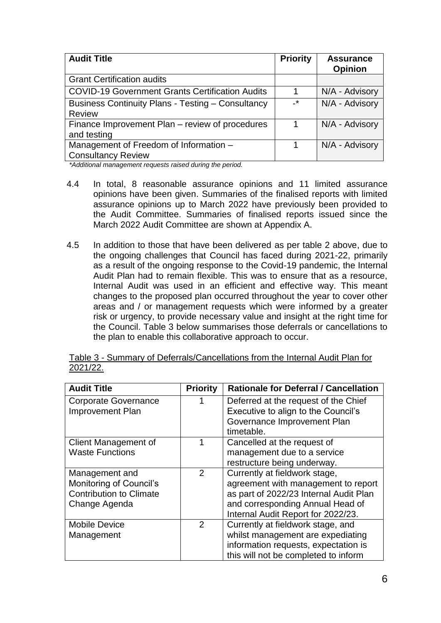| <b>Audit Title</b>                                                        | <b>Priority</b> | <b>Assurance</b><br><b>Opinion</b> |
|---------------------------------------------------------------------------|-----------------|------------------------------------|
| <b>Grant Certification audits</b>                                         |                 |                                    |
| <b>COVID-19 Government Grants Certification Audits</b>                    | 1               | N/A - Advisory                     |
| <b>Business Continuity Plans - Testing - Consultancy</b><br><b>Review</b> | $\mathbf{r}$    | N/A - Advisory                     |
| Finance Improvement Plan - review of procedures<br>and testing            |                 | N/A - Advisory                     |
| Management of Freedom of Information -<br><b>Consultancy Review</b>       |                 | N/A - Advisory                     |

*\*Additional management requests raised during the period.*

- 4.4 In total, 8 reasonable assurance opinions and 11 limited assurance opinions have been given. Summaries of the finalised reports with limited assurance opinions up to March 2022 have previously been provided to the Audit Committee. Summaries of finalised reports issued since the March 2022 Audit Committee are shown at Appendix A.
- 4.5 In addition to those that have been delivered as per table 2 above, due to the ongoing challenges that Council has faced during 2021-22, primarily as a result of the ongoing response to the Covid-19 pandemic, the Internal Audit Plan had to remain flexible. This was to ensure that as a resource, Internal Audit was used in an efficient and effective way. This meant changes to the proposed plan occurred throughout the year to cover other areas and / or management requests which were informed by a greater risk or urgency, to provide necessary value and insight at the right time for the Council. Table 3 below summarises those deferrals or cancellations to the plan to enable this collaborative approach to occur.

| <b>Audit Title</b>             | <b>Priority</b> | <b>Rationale for Deferral / Cancellation</b> |
|--------------------------------|-----------------|----------------------------------------------|
| <b>Corporate Governance</b>    |                 | Deferred at the request of the Chief         |
| <b>Improvement Plan</b>        |                 | Executive to align to the Council's          |
|                                |                 | Governance Improvement Plan                  |
|                                |                 | timetable.                                   |
| Client Management of           | 1               | Cancelled at the request of                  |
| <b>Waste Functions</b>         |                 | management due to a service                  |
|                                |                 | restructure being underway.                  |
| Management and                 | 2               | Currently at fieldwork stage,                |
| Monitoring of Council's        |                 | agreement with management to report          |
| <b>Contribution to Climate</b> |                 | as part of 2022/23 Internal Audit Plan       |
| Change Agenda                  |                 | and corresponding Annual Head of             |
|                                |                 | Internal Audit Report for 2022/23.           |
| <b>Mobile Device</b>           | $\overline{2}$  | Currently at fieldwork stage, and            |
| Management                     |                 | whilst management are expediating            |
|                                |                 | information requests, expectation is         |
|                                |                 | this will not be completed to inform         |

Table 3 - Summary of Deferrals/Cancellations from the Internal Audit Plan for 2021/22.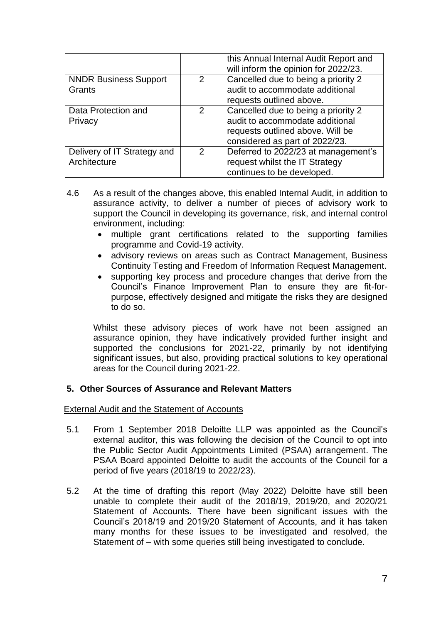|                                        |               | this Annual Internal Audit Report and<br>will inform the opinion for 2022/23. |
|----------------------------------------|---------------|-------------------------------------------------------------------------------|
| <b>NNDR Business Support</b><br>Grants | 2             | Cancelled due to being a priority 2<br>audit to accommodate additional        |
|                                        |               | requests outlined above.                                                      |
| Data Protection and                    | 2             | Cancelled due to being a priority 2                                           |
| Privacy                                |               | audit to accommodate additional                                               |
|                                        |               | requests outlined above. Will be                                              |
|                                        |               | considered as part of 2022/23.                                                |
| Delivery of IT Strategy and            | $\mathcal{P}$ | Deferred to 2022/23 at management's                                           |
| Architecture                           |               | request whilst the IT Strategy                                                |
|                                        |               | continues to be developed.                                                    |

- 4.6 As a result of the changes above, this enabled Internal Audit, in addition to assurance activity, to deliver a number of pieces of advisory work to support the Council in developing its governance, risk, and internal control environment, including:
	- multiple grant certifications related to the supporting families programme and Covid-19 activity.
	- advisory reviews on areas such as Contract Management, Business Continuity Testing and Freedom of Information Request Management.
	- supporting key process and procedure changes that derive from the Council's Finance Improvement Plan to ensure they are fit-forpurpose, effectively designed and mitigate the risks they are designed to do so.

Whilst these advisory pieces of work have not been assigned an assurance opinion, they have indicatively provided further insight and supported the conclusions for 2021-22, primarily by not identifying significant issues, but also, providing practical solutions to key operational areas for the Council during 2021-22.

#### **5. Other Sources of Assurance and Relevant Matters**

External Audit and the Statement of Accounts

- 5.1 From 1 September 2018 Deloitte LLP was appointed as the Council's external auditor, this was following the decision of the Council to opt into the Public Sector Audit Appointments Limited (PSAA) arrangement. The PSAA Board appointed Deloitte to audit the accounts of the Council for a period of five years (2018/19 to 2022/23).
- 5.2 At the time of drafting this report (May 2022) Deloitte have still been unable to complete their audit of the 2018/19, 2019/20, and 2020/21 Statement of Accounts. There have been significant issues with the Council's 2018/19 and 2019/20 Statement of Accounts, and it has taken many months for these issues to be investigated and resolved, the Statement of – with some queries still being investigated to conclude.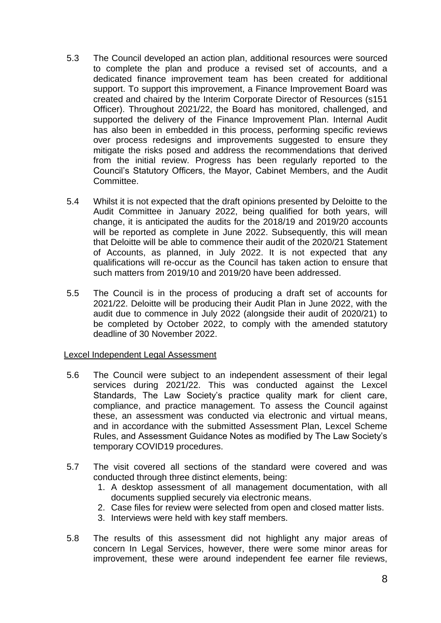- 5.3 The Council developed an action plan, additional resources were sourced to complete the plan and produce a revised set of accounts, and a dedicated finance improvement team has been created for additional support. To support this improvement, a Finance Improvement Board was created and chaired by the Interim Corporate Director of Resources (s151 Officer). Throughout 2021/22, the Board has monitored, challenged, and supported the delivery of the Finance Improvement Plan. Internal Audit has also been in embedded in this process, performing specific reviews over process redesigns and improvements suggested to ensure they mitigate the risks posed and address the recommendations that derived from the initial review. Progress has been regularly reported to the Council's Statutory Officers, the Mayor, Cabinet Members, and the Audit Committee.
- 5.4 Whilst it is not expected that the draft opinions presented by Deloitte to the Audit Committee in January 2022, being qualified for both years, will change, it is anticipated the audits for the 2018/19 and 2019/20 accounts will be reported as complete in June 2022. Subsequently, this will mean that Deloitte will be able to commence their audit of the 2020/21 Statement of Accounts, as planned, in July 2022. It is not expected that any qualifications will re-occur as the Council has taken action to ensure that such matters from 2019/10 and 2019/20 have been addressed.
- 5.5 The Council is in the process of producing a draft set of accounts for 2021/22. Deloitte will be producing their Audit Plan in June 2022, with the audit due to commence in July 2022 (alongside their audit of 2020/21) to be completed by October 2022, to comply with the amended statutory deadline of 30 November 2022.

#### Lexcel Independent Legal Assessment

- 5.6 The Council were subject to an independent assessment of their legal services during 2021/22. This was conducted against the Lexcel Standards, The Law Society's practice quality mark for client care, compliance, and practice management. To assess the Council against these, an assessment was conducted via electronic and virtual means, and in accordance with the submitted Assessment Plan, Lexcel Scheme Rules, and Assessment Guidance Notes as modified by The Law Society's temporary COVID19 procedures.
- 5.7 The visit covered all sections of the standard were covered and was conducted through three distinct elements, being:
	- 1. A desktop assessment of all management documentation, with all documents supplied securely via electronic means.
	- 2. Case files for review were selected from open and closed matter lists.
	- 3. Interviews were held with key staff members.
- 5.8 The results of this assessment did not highlight any major areas of concern In Legal Services, however, there were some minor areas for improvement, these were around independent fee earner file reviews,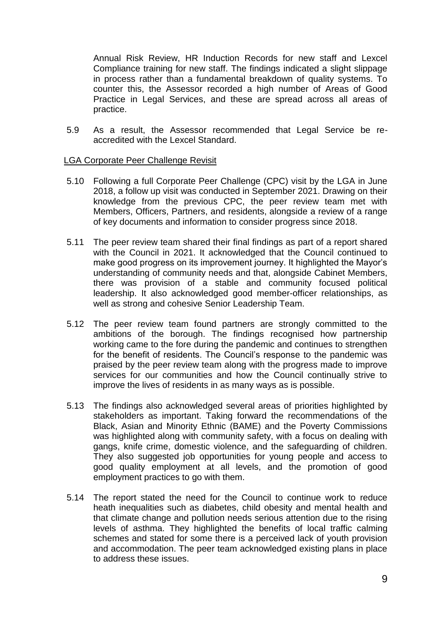Annual Risk Review, HR Induction Records for new staff and Lexcel Compliance training for new staff. The findings indicated a slight slippage in process rather than a fundamental breakdown of quality systems. To counter this, the Assessor recorded a high number of Areas of Good Practice in Legal Services, and these are spread across all areas of practice.

5.9 As a result, the Assessor recommended that Legal Service be reaccredited with the Lexcel Standard.

#### LGA Corporate Peer Challenge Revisit

- 5.10 Following a full Corporate Peer Challenge (CPC) visit by the LGA in June 2018, a follow up visit was conducted in September 2021. Drawing on their knowledge from the previous CPC, the peer review team met with Members, Officers, Partners, and residents, alongside a review of a range of key documents and information to consider progress since 2018.
- 5.11 The peer review team shared their final findings as part of a report shared with the Council in 2021. It acknowledged that the Council continued to make good progress on its improvement journey. It highlighted the Mayor's understanding of community needs and that, alongside Cabinet Members, there was provision of a stable and community focused political leadership. It also acknowledged good member-officer relationships, as well as strong and cohesive Senior Leadership Team.
- 5.12 The peer review team found partners are strongly committed to the ambitions of the borough. The findings recognised how partnership working came to the fore during the pandemic and continues to strengthen for the benefit of residents. The Council's response to the pandemic was praised by the peer review team along with the progress made to improve services for our communities and how the Council continually strive to improve the lives of residents in as many ways as is possible.
- 5.13 The findings also acknowledged several areas of priorities highlighted by stakeholders as important. Taking forward the recommendations of the Black, Asian and Minority Ethnic (BAME) and the Poverty Commissions was highlighted along with community safety, with a focus on dealing with gangs, knife crime, domestic violence, and the safeguarding of children. They also suggested job opportunities for young people and access to good quality employment at all levels, and the promotion of good employment practices to go with them.
- 5.14 The report stated the need for the Council to continue work to reduce heath inequalities such as diabetes, child obesity and mental health and that climate change and pollution needs serious attention due to the rising levels of asthma. They highlighted the benefits of local traffic calming schemes and stated for some there is a perceived lack of youth provision and accommodation. The peer team acknowledged existing plans in place to address these issues.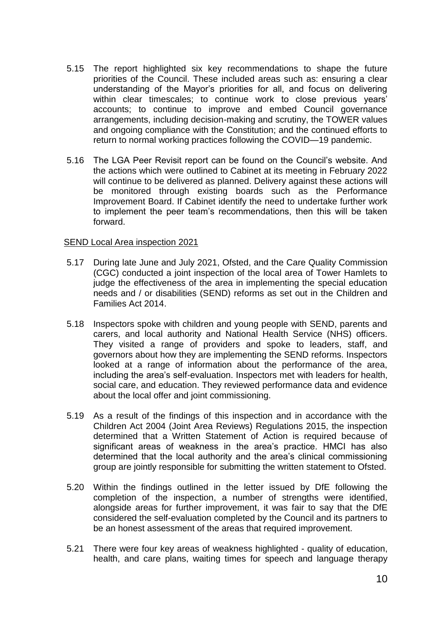- 5.15 The report highlighted six key recommendations to shape the future priorities of the Council. These included areas such as: ensuring a clear understanding of the Mayor's priorities for all, and focus on delivering within clear timescales; to continue work to close previous years' accounts; to continue to improve and embed Council governance arrangements, including decision-making and scrutiny, the TOWER values and ongoing compliance with the Constitution; and the continued efforts to return to normal working practices following the COVID—19 pandemic.
- 5.16 The LGA Peer Revisit report can be found on the Council's website. And the actions which were outlined to Cabinet at its meeting in February 2022 will continue to be delivered as planned. Delivery against these actions will be monitored through existing boards such as the Performance Improvement Board. If Cabinet identify the need to undertake further work to implement the peer team's recommendations, then this will be taken forward.

#### SEND Local Area inspection 2021

- 5.17 During late June and July 2021, Ofsted, and the Care Quality Commission (CGC) conducted a joint inspection of the local area of Tower Hamlets to judge the effectiveness of the area in implementing the special education needs and / or disabilities (SEND) reforms as set out in the Children and Families Act 2014.
- 5.18 Inspectors spoke with children and young people with SEND, parents and carers, and local authority and National Health Service (NHS) officers. They visited a range of providers and spoke to leaders, staff, and governors about how they are implementing the SEND reforms. Inspectors looked at a range of information about the performance of the area, including the area's self-evaluation. Inspectors met with leaders for health, social care, and education. They reviewed performance data and evidence about the local offer and joint commissioning.
- 5.19 As a result of the findings of this inspection and in accordance with the Children Act 2004 (Joint Area Reviews) Regulations 2015, the inspection determined that a Written Statement of Action is required because of significant areas of weakness in the area's practice. HMCI has also determined that the local authority and the area's clinical commissioning group are jointly responsible for submitting the written statement to Ofsted.
- 5.20 Within the findings outlined in the letter issued by DfE following the completion of the inspection, a number of strengths were identified, alongside areas for further improvement, it was fair to say that the DfE considered the self-evaluation completed by the Council and its partners to be an honest assessment of the areas that required improvement.
- 5.21 There were four key areas of weakness highlighted quality of education, health, and care plans, waiting times for speech and language therapy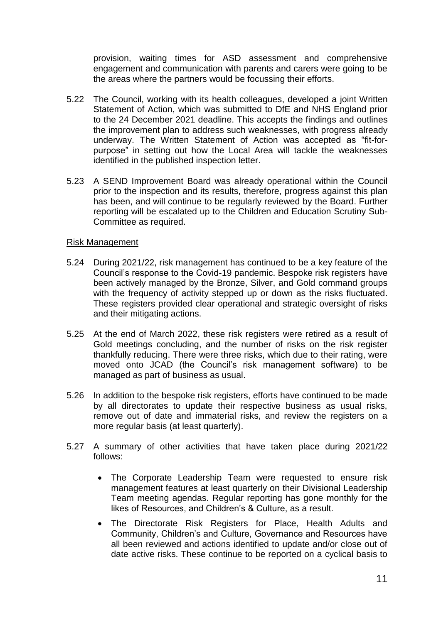provision, waiting times for ASD assessment and comprehensive engagement and communication with parents and carers were going to be the areas where the partners would be focussing their efforts.

- 5.22 The Council, working with its health colleagues, developed a joint Written Statement of Action, which was submitted to DfE and NHS England prior to the 24 December 2021 deadline. This accepts the findings and outlines the improvement plan to address such weaknesses, with progress already underway. The Written Statement of Action was accepted as "fit-forpurpose" in setting out how the Local Area will tackle the weaknesses identified in the published inspection letter.
- 5.23 A SEND Improvement Board was already operational within the Council prior to the inspection and its results, therefore, progress against this plan has been, and will continue to be regularly reviewed by the Board. Further reporting will be escalated up to the Children and Education Scrutiny Sub-Committee as required.

#### Risk Management

- 5.24 During 2021/22, risk management has continued to be a key feature of the Council's response to the Covid-19 pandemic. Bespoke risk registers have been actively managed by the Bronze, Silver, and Gold command groups with the frequency of activity stepped up or down as the risks fluctuated. These registers provided clear operational and strategic oversight of risks and their mitigating actions.
- 5.25 At the end of March 2022, these risk registers were retired as a result of Gold meetings concluding, and the number of risks on the risk register thankfully reducing. There were three risks, which due to their rating, were moved onto JCAD (the Council's risk management software) to be managed as part of business as usual.
- 5.26 In addition to the bespoke risk registers, efforts have continued to be made by all directorates to update their respective business as usual risks, remove out of date and immaterial risks, and review the registers on a more regular basis (at least quarterly).
- 5.27 A summary of other activities that have taken place during 2021/22 follows:
	- The Corporate Leadership Team were requested to ensure risk management features at least quarterly on their Divisional Leadership Team meeting agendas. Regular reporting has gone monthly for the likes of Resources, and Children's & Culture, as a result.
	- The Directorate Risk Registers for Place, Health Adults and Community, Children's and Culture, Governance and Resources have all been reviewed and actions identified to update and/or close out of date active risks. These continue to be reported on a cyclical basis to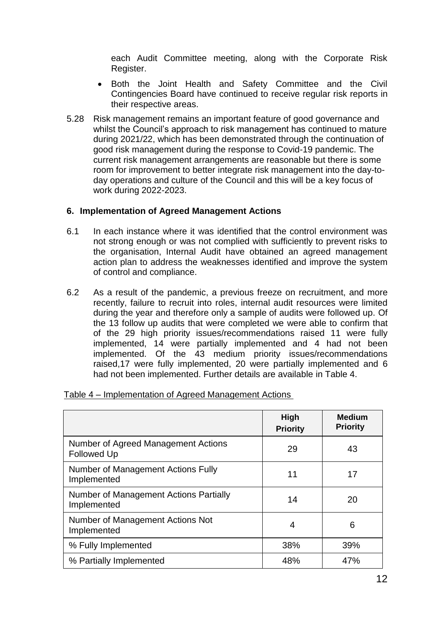each Audit Committee meeting, along with the Corporate Risk Register.

- Both the Joint Health and Safety Committee and the Civil Contingencies Board have continued to receive regular risk reports in their respective areas.
- 5.28 Risk management remains an important feature of good governance and whilst the Council's approach to risk management has continued to mature during 2021/22, which has been demonstrated through the continuation of good risk management during the response to Covid-19 pandemic. The current risk management arrangements are reasonable but there is some room for improvement to better integrate risk management into the day-today operations and culture of the Council and this will be a key focus of work during 2022-2023.

#### **6. Implementation of Agreed Management Actions**

- 6.1 In each instance where it was identified that the control environment was not strong enough or was not complied with sufficiently to prevent risks to the organisation, Internal Audit have obtained an agreed management action plan to address the weaknesses identified and improve the system of control and compliance.
- 6.2 As a result of the pandemic, a previous freeze on recruitment, and more recently, failure to recruit into roles, internal audit resources were limited during the year and therefore only a sample of audits were followed up. Of the 13 follow up audits that were completed we were able to confirm that of the 29 high priority issues/recommendations raised 11 were fully implemented, 14 were partially implemented and 4 had not been implemented. Of the 43 medium priority issues/recommendations raised,17 were fully implemented, 20 were partially implemented and 6 had not been implemented. Further details are available in Table 4.

|                                                           | <b>High</b><br><b>Priority</b> | <b>Medium</b><br><b>Priority</b> |
|-----------------------------------------------------------|--------------------------------|----------------------------------|
| Number of Agreed Management Actions<br><b>Followed Up</b> | 29                             | 43                               |
| Number of Management Actions Fully<br>Implemented         | 11                             | 17                               |
| Number of Management Actions Partially<br>Implemented     | 14                             | 20                               |
| Number of Management Actions Not<br>Implemented           | 4                              | 6                                |
| % Fully Implemented                                       | 38%                            | 39%                              |
| % Partially Implemented                                   | 48%                            | 47%                              |

Table 4 – Implementation of Agreed Management Actions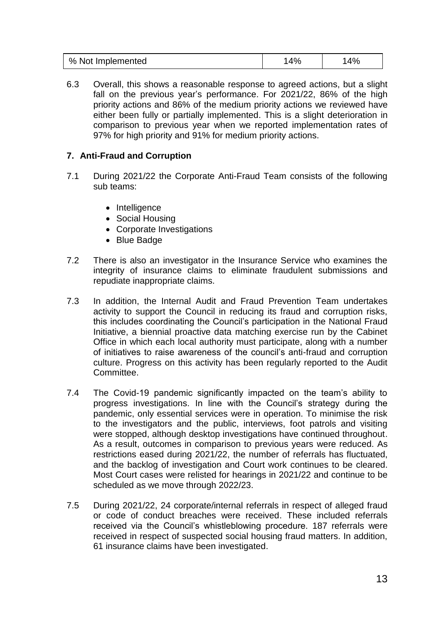| % Not Implemented | 4% | 14% |
|-------------------|----|-----|
|-------------------|----|-----|

6.3 Overall, this shows a reasonable response to agreed actions, but a slight fall on the previous year's performance. For 2021/22, 86% of the high priority actions and 86% of the medium priority actions we reviewed have either been fully or partially implemented. This is a slight deterioration in comparison to previous year when we reported implementation rates of 97% for high priority and 91% for medium priority actions.

## **7. Anti-Fraud and Corruption**

- 7.1 During 2021/22 the Corporate Anti-Fraud Team consists of the following sub teams:
	- Intelligence
	- Social Housing
	- Corporate Investigations
	- Blue Badge
- 7.2 There is also an investigator in the Insurance Service who examines the integrity of insurance claims to eliminate fraudulent submissions and repudiate inappropriate claims.
- 7.3 In addition, the Internal Audit and Fraud Prevention Team undertakes activity to support the Council in reducing its fraud and corruption risks, this includes coordinating the Council's participation in the National Fraud Initiative, a biennial proactive data matching exercise run by the Cabinet Office in which each local authority must participate, along with a number of initiatives to raise awareness of the council's anti-fraud and corruption culture. Progress on this activity has been regularly reported to the Audit Committee.
- 7.4 The Covid-19 pandemic significantly impacted on the team's ability to progress investigations. In line with the Council's strategy during the pandemic, only essential services were in operation. To minimise the risk to the investigators and the public, interviews, foot patrols and visiting were stopped, although desktop investigations have continued throughout. As a result, outcomes in comparison to previous years were reduced. As restrictions eased during 2021/22, the number of referrals has fluctuated, and the backlog of investigation and Court work continues to be cleared. Most Court cases were relisted for hearings in 2021/22 and continue to be scheduled as we move through 2022/23.
- 7.5 During 2021/22, 24 corporate/internal referrals in respect of alleged fraud or code of conduct breaches were received. These included referrals received via the Council's whistleblowing procedure. 187 referrals were received in respect of suspected social housing fraud matters. In addition, 61 insurance claims have been investigated.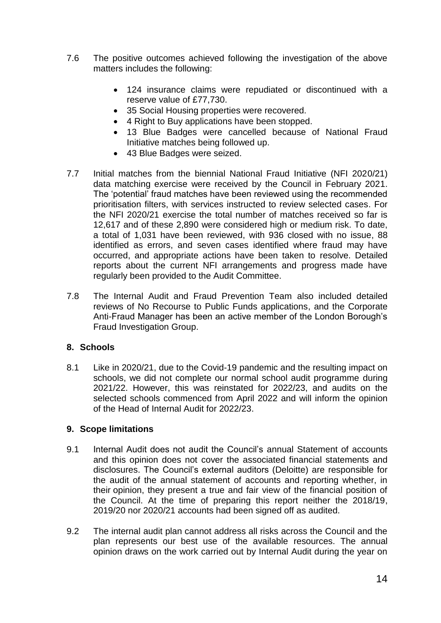- 7.6 The positive outcomes achieved following the investigation of the above matters includes the following:
	- 124 insurance claims were repudiated or discontinued with a reserve value of £77,730.
	- 35 Social Housing properties were recovered.
	- 4 Right to Buy applications have been stopped.
	- 13 Blue Badges were cancelled because of National Fraud Initiative matches being followed up.
	- 43 Blue Badges were seized.
- 7.7 Initial matches from the biennial National Fraud Initiative (NFI 2020/21) data matching exercise were received by the Council in February 2021. The 'potential' fraud matches have been reviewed using the recommended prioritisation filters, with services instructed to review selected cases. For the NFI 2020/21 exercise the total number of matches received so far is 12,617 and of these 2,890 were considered high or medium risk. To date, a total of 1,031 have been reviewed, with 936 closed with no issue, 88 identified as errors, and seven cases identified where fraud may have occurred, and appropriate actions have been taken to resolve. Detailed reports about the current NFI arrangements and progress made have regularly been provided to the Audit Committee.
- 7.8 The Internal Audit and Fraud Prevention Team also included detailed reviews of No Recourse to Public Funds applications, and the Corporate Anti-Fraud Manager has been an active member of the London Borough's Fraud Investigation Group.

#### **8. Schools**

8.1 Like in 2020/21, due to the Covid-19 pandemic and the resulting impact on schools, we did not complete our normal school audit programme during 2021/22. However, this was reinstated for 2022/23, and audits on the selected schools commenced from April 2022 and will inform the opinion of the Head of Internal Audit for 2022/23.

#### **9. Scope limitations**

- 9.1 Internal Audit does not audit the Council's annual Statement of accounts and this opinion does not cover the associated financial statements and disclosures. The Council's external auditors (Deloitte) are responsible for the audit of the annual statement of accounts and reporting whether, in their opinion, they present a true and fair view of the financial position of the Council. At the time of preparing this report neither the 2018/19, 2019/20 nor 2020/21 accounts had been signed off as audited.
- 9.2 The internal audit plan cannot address all risks across the Council and the plan represents our best use of the available resources. The annual opinion draws on the work carried out by Internal Audit during the year on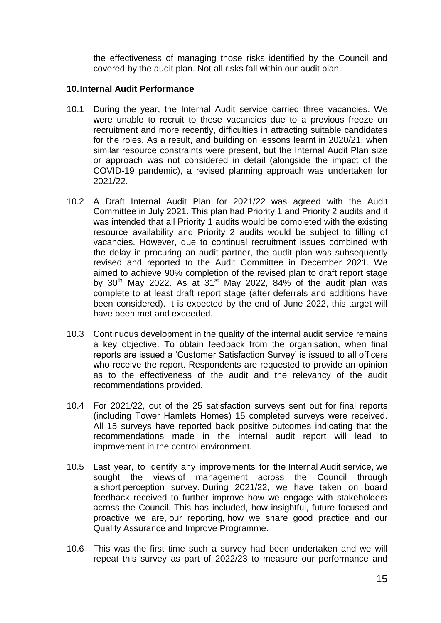the effectiveness of managing those risks identified by the Council and covered by the audit plan. Not all risks fall within our audit plan.

#### **10.Internal Audit Performance**

- 10.1 During the year, the Internal Audit service carried three vacancies. We were unable to recruit to these vacancies due to a previous freeze on recruitment and more recently, difficulties in attracting suitable candidates for the roles. As a result, and building on lessons learnt in 2020/21, when similar resource constraints were present, but the Internal Audit Plan size or approach was not considered in detail (alongside the impact of the COVID-19 pandemic), a revised planning approach was undertaken for 2021/22.
- 10.2 A Draft Internal Audit Plan for 2021/22 was agreed with the Audit Committee in July 2021. This plan had Priority 1 and Priority 2 audits and it was intended that all Priority 1 audits would be completed with the existing resource availability and Priority 2 audits would be subject to filling of vacancies. However, due to continual recruitment issues combined with the delay in procuring an audit partner, the audit plan was subsequently revised and reported to the Audit Committee in December 2021. We aimed to achieve 90% completion of the revised plan to draft report stage by  $30<sup>th</sup>$  May 2022. As at  $31<sup>st</sup>$  May 2022, 84% of the audit plan was complete to at least draft report stage (after deferrals and additions have been considered). It is expected by the end of June 2022, this target will have been met and exceeded.
- 10.3 Continuous development in the quality of the internal audit service remains a key objective. To obtain feedback from the organisation, when final reports are issued a 'Customer Satisfaction Survey' is issued to all officers who receive the report. Respondents are requested to provide an opinion as to the effectiveness of the audit and the relevancy of the audit recommendations provided.
- 10.4 For 2021/22, out of the 25 satisfaction surveys sent out for final reports (including Tower Hamlets Homes) 15 completed surveys were received. All 15 surveys have reported back positive outcomes indicating that the recommendations made in the internal audit report will lead to improvement in the control environment.
- 10.5 Last year, to identify any improvements for the Internal Audit service, we sought the views of management across the Council through a short perception survey. During 2021/22, we have taken on board feedback received to further improve how we engage with stakeholders across the Council. This has included, how insightful, future focused and proactive we are, our reporting, how we share good practice and our Quality Assurance and Improve Programme.
- 10.6 This was the first time such a survey had been undertaken and we will repeat this survey as part of 2022/23 to measure our performance and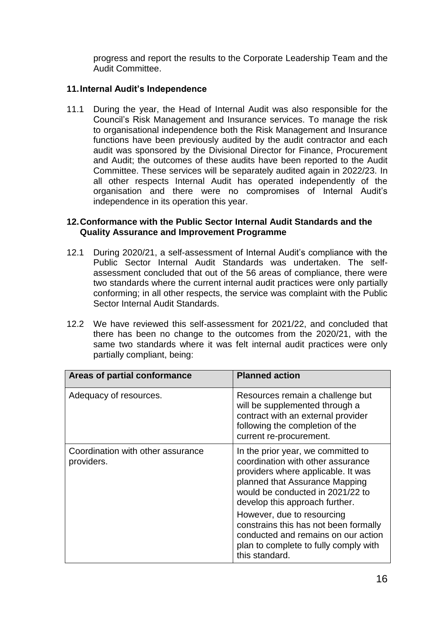progress and report the results to the Corporate Leadership Team and the Audit Committee.

## **11.Internal Audit's Independence**

11.1 During the year, the Head of Internal Audit was also responsible for the Council's Risk Management and Insurance services. To manage the risk to organisational independence both the Risk Management and Insurance functions have been previously audited by the audit contractor and each audit was sponsored by the Divisional Director for Finance, Procurement and Audit; the outcomes of these audits have been reported to the Audit Committee. These services will be separately audited again in 2022/23. In all other respects Internal Audit has operated independently of the organisation and there were no compromises of Internal Audit's independence in its operation this year.

#### **12.Conformance with the Public Sector Internal Audit Standards and the Quality Assurance and Improvement Programme**

- 12.1 During 2020/21, a self-assessment of Internal Audit's compliance with the Public Sector Internal Audit Standards was undertaken. The selfassessment concluded that out of the 56 areas of compliance, there were two standards where the current internal audit practices were only partially conforming; in all other respects, the service was complaint with the Public Sector Internal Audit Standards.
- 12.2 We have reviewed this self-assessment for 2021/22, and concluded that there has been no change to the outcomes from the 2020/21, with the same two standards where it was felt internal audit practices were only partially compliant, being:

| Areas of partial conformance                    | <b>Planned action</b>                                                                                                                                                                                                 |
|-------------------------------------------------|-----------------------------------------------------------------------------------------------------------------------------------------------------------------------------------------------------------------------|
| Adequacy of resources.                          | Resources remain a challenge but<br>will be supplemented through a<br>contract with an external provider<br>following the completion of the<br>current re-procurement.                                                |
| Coordination with other assurance<br>providers. | In the prior year, we committed to<br>coordination with other assurance<br>providers where applicable. It was<br>planned that Assurance Mapping<br>would be conducted in 2021/22 to<br>develop this approach further. |
|                                                 | However, due to resourcing<br>constrains this has not been formally<br>conducted and remains on our action<br>plan to complete to fully comply with<br>this standard.                                                 |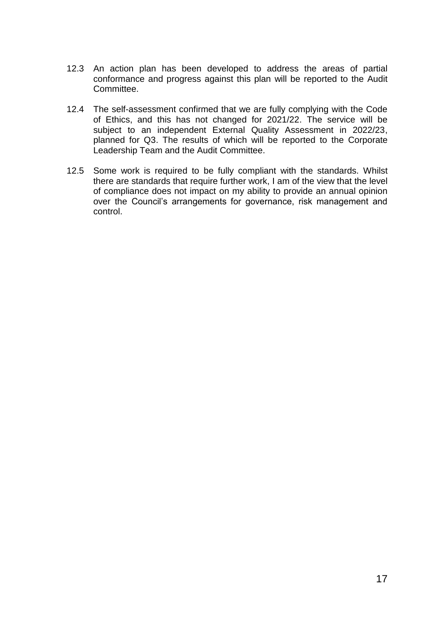- 12.3 An action plan has been developed to address the areas of partial conformance and progress against this plan will be reported to the Audit Committee.
- 12.4 The self-assessment confirmed that we are fully complying with the Code of Ethics, and this has not changed for 2021/22. The service will be subject to an independent External Quality Assessment in 2022/23, planned for Q3. The results of which will be reported to the Corporate Leadership Team and the Audit Committee.
- 12.5 Some work is required to be fully compliant with the standards. Whilst there are standards that require further work, I am of the view that the level of compliance does not impact on my ability to provide an annual opinion over the Council's arrangements for governance, risk management and control.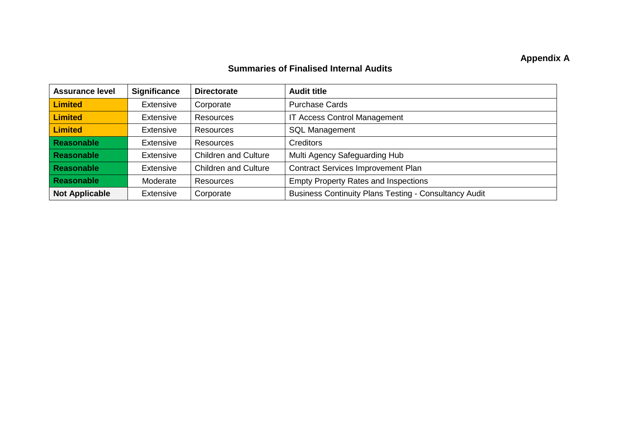# **Appendix A**

# **Summaries of Finalised Internal Audits**

| <b>Assurance level</b> | <b>Significance</b> | <b>Directorate</b>          | <b>Audit title</b>                                           |
|------------------------|---------------------|-----------------------------|--------------------------------------------------------------|
| <b>Limited</b>         | Extensive           | Corporate                   | <b>Purchase Cards</b>                                        |
| <b>Limited</b>         | Extensive           | Resources                   | IT Access Control Management                                 |
| <b>Limited</b>         | <b>Extensive</b>    | Resources                   | <b>SQL Management</b>                                        |
| Reasonable             | Extensive           | Resources                   | <b>Creditors</b>                                             |
| <b>Reasonable</b>      | <b>Extensive</b>    | <b>Children and Culture</b> | Multi Agency Safeguarding Hub                                |
| Reasonable             | <b>Extensive</b>    | <b>Children and Culture</b> | <b>Contract Services Improvement Plan</b>                    |
| Reasonable             | Moderate            | Resources                   | <b>Empty Property Rates and Inspections</b>                  |
| <b>Not Applicable</b>  | <b>Extensive</b>    | Corporate                   | <b>Business Continuity Plans Testing - Consultancy Audit</b> |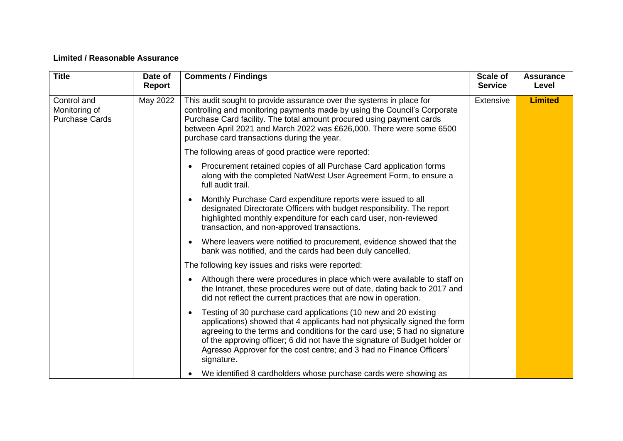## **Limited / Reasonable Assurance**

| <b>Title</b>                                          | Date of<br>Report | <b>Comments / Findings</b>                                                                                                                                                                                                                                                                                                                                                                                  | <b>Scale of</b><br><b>Service</b> | <b>Assurance</b><br>Level |
|-------------------------------------------------------|-------------------|-------------------------------------------------------------------------------------------------------------------------------------------------------------------------------------------------------------------------------------------------------------------------------------------------------------------------------------------------------------------------------------------------------------|-----------------------------------|---------------------------|
| Control and<br>Monitoring of<br><b>Purchase Cards</b> | May 2022          | This audit sought to provide assurance over the systems in place for<br>controlling and monitoring payments made by using the Council's Corporate<br>Purchase Card facility. The total amount procured using payment cards<br>between April 2021 and March 2022 was £626,000. There were some 6500<br>purchase card transactions during the year.                                                           | Extensive                         | <b>Limited</b>            |
|                                                       |                   | The following areas of good practice were reported:                                                                                                                                                                                                                                                                                                                                                         |                                   |                           |
|                                                       |                   | Procurement retained copies of all Purchase Card application forms<br>along with the completed NatWest User Agreement Form, to ensure a<br>full audit trail.                                                                                                                                                                                                                                                |                                   |                           |
|                                                       |                   | Monthly Purchase Card expenditure reports were issued to all<br>$\bullet$<br>designated Directorate Officers with budget responsibility. The report<br>highlighted monthly expenditure for each card user, non-reviewed<br>transaction, and non-approved transactions.                                                                                                                                      |                                   |                           |
|                                                       |                   | Where leavers were notified to procurement, evidence showed that the<br>$\bullet$<br>bank was notified, and the cards had been duly cancelled.                                                                                                                                                                                                                                                              |                                   |                           |
|                                                       |                   | The following key issues and risks were reported:                                                                                                                                                                                                                                                                                                                                                           |                                   |                           |
|                                                       |                   | Although there were procedures in place which were available to staff on<br>$\bullet$<br>the Intranet, these procedures were out of date, dating back to 2017 and<br>did not reflect the current practices that are now in operation.                                                                                                                                                                       |                                   |                           |
|                                                       |                   | Testing of 30 purchase card applications (10 new and 20 existing<br>$\bullet$<br>applications) showed that 4 applicants had not physically signed the form<br>agreeing to the terms and conditions for the card use; 5 had no signature<br>of the approving officer; 6 did not have the signature of Budget holder or<br>Agresso Approver for the cost centre; and 3 had no Finance Officers'<br>signature. |                                   |                           |
|                                                       |                   | We identified 8 cardholders whose purchase cards were showing as                                                                                                                                                                                                                                                                                                                                            |                                   |                           |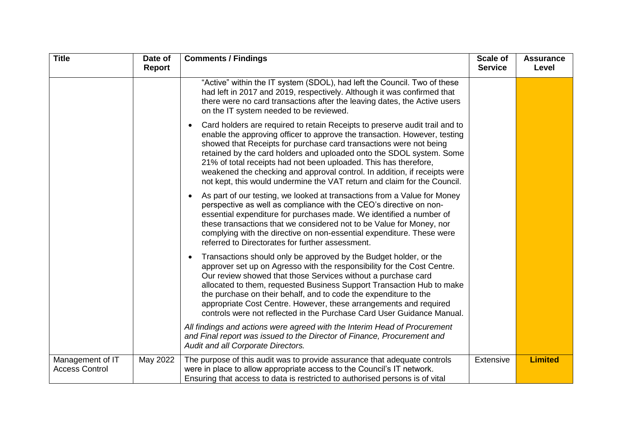| <b>Title</b>                              | Date of<br><b>Report</b> | <b>Comments / Findings</b>                                                                                                                                                                                                                                                                                                                                                                                                                                                                                                          | <b>Scale of</b><br><b>Service</b> | <b>Assurance</b><br>Level |
|-------------------------------------------|--------------------------|-------------------------------------------------------------------------------------------------------------------------------------------------------------------------------------------------------------------------------------------------------------------------------------------------------------------------------------------------------------------------------------------------------------------------------------------------------------------------------------------------------------------------------------|-----------------------------------|---------------------------|
|                                           |                          | "Active" within the IT system (SDOL), had left the Council. Two of these<br>had left in 2017 and 2019, respectively. Although it was confirmed that<br>there were no card transactions after the leaving dates, the Active users<br>on the IT system needed to be reviewed.                                                                                                                                                                                                                                                         |                                   |                           |
|                                           |                          | Card holders are required to retain Receipts to preserve audit trail and to<br>enable the approving officer to approve the transaction. However, testing<br>showed that Receipts for purchase card transactions were not being<br>retained by the card holders and uploaded onto the SDOL system. Some<br>21% of total receipts had not been uploaded. This has therefore,<br>weakened the checking and approval control. In addition, if receipts were<br>not kept, this would undermine the VAT return and claim for the Council. |                                   |                           |
|                                           |                          | As part of our testing, we looked at transactions from a Value for Money<br>$\bullet$<br>perspective as well as compliance with the CEO's directive on non-<br>essential expenditure for purchases made. We identified a number of<br>these transactions that we considered not to be Value for Money, nor<br>complying with the directive on non-essential expenditure. These were<br>referred to Directorates for further assessment.                                                                                             |                                   |                           |
|                                           |                          | Transactions should only be approved by the Budget holder, or the<br>approver set up on Agresso with the responsibility for the Cost Centre.<br>Our review showed that those Services without a purchase card<br>allocated to them, requested Business Support Transaction Hub to make<br>the purchase on their behalf, and to code the expenditure to the<br>appropriate Cost Centre. However, these arrangements and required<br>controls were not reflected in the Purchase Card User Guidance Manual.                           |                                   |                           |
|                                           |                          | All findings and actions were agreed with the Interim Head of Procurement<br>and Final report was issued to the Director of Finance, Procurement and<br>Audit and all Corporate Directors.                                                                                                                                                                                                                                                                                                                                          |                                   |                           |
| Management of IT<br><b>Access Control</b> | May 2022                 | The purpose of this audit was to provide assurance that adequate controls<br>were in place to allow appropriate access to the Council's IT network.<br>Ensuring that access to data is restricted to authorised persons is of vital                                                                                                                                                                                                                                                                                                 | Extensive                         | <b>Limited</b>            |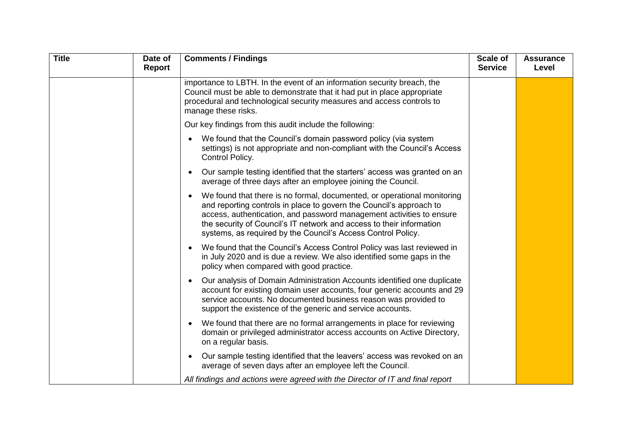| <b>Title</b> | Date of<br><b>Report</b> | <b>Comments / Findings</b>                                                                                                                                                                                                                                                                                                                                                  | Scale of<br><b>Service</b> | <b>Assurance</b><br>Level |
|--------------|--------------------------|-----------------------------------------------------------------------------------------------------------------------------------------------------------------------------------------------------------------------------------------------------------------------------------------------------------------------------------------------------------------------------|----------------------------|---------------------------|
|              |                          | importance to LBTH. In the event of an information security breach, the<br>Council must be able to demonstrate that it had put in place appropriate<br>procedural and technological security measures and access controls to<br>manage these risks.                                                                                                                         |                            |                           |
|              |                          | Our key findings from this audit include the following:                                                                                                                                                                                                                                                                                                                     |                            |                           |
|              |                          | We found that the Council's domain password policy (via system<br>settings) is not appropriate and non-compliant with the Council's Access<br>Control Policy.                                                                                                                                                                                                               |                            |                           |
|              |                          | Our sample testing identified that the starters' access was granted on an<br>average of three days after an employee joining the Council.                                                                                                                                                                                                                                   |                            |                           |
|              |                          | We found that there is no formal, documented, or operational monitoring<br>$\bullet$<br>and reporting controls in place to govern the Council's approach to<br>access, authentication, and password management activities to ensure<br>the security of Council's IT network and access to their information<br>systems, as required by the Council's Access Control Policy. |                            |                           |
|              |                          | We found that the Council's Access Control Policy was last reviewed in<br>$\bullet$<br>in July 2020 and is due a review. We also identified some gaps in the<br>policy when compared with good practice.                                                                                                                                                                    |                            |                           |
|              |                          | Our analysis of Domain Administration Accounts identified one duplicate<br>account for existing domain user accounts, four generic accounts and 29<br>service accounts. No documented business reason was provided to<br>support the existence of the generic and service accounts.                                                                                         |                            |                           |
|              |                          | We found that there are no formal arrangements in place for reviewing<br>domain or privileged administrator access accounts on Active Directory,<br>on a regular basis.                                                                                                                                                                                                     |                            |                           |
|              |                          | Our sample testing identified that the leavers' access was revoked on an<br>average of seven days after an employee left the Council.                                                                                                                                                                                                                                       |                            |                           |
|              |                          | All findings and actions were agreed with the Director of IT and final report                                                                                                                                                                                                                                                                                               |                            |                           |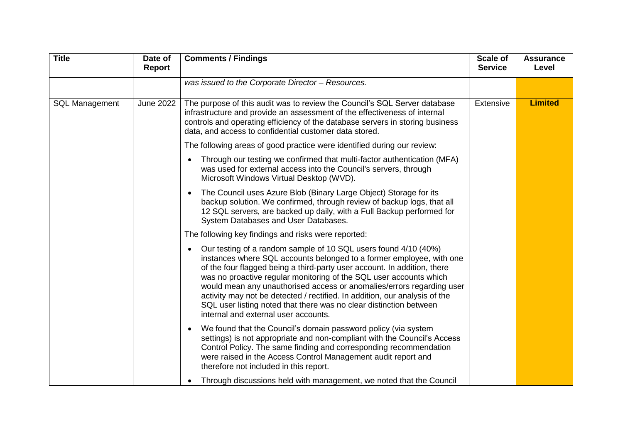| <b>Title</b>          | Date of<br>Report | <b>Comments / Findings</b>                                                                                                                                                                                                                                                                                                                                                                                                                                                                                                                                                  | <b>Scale of</b><br><b>Service</b> | <b>Assurance</b><br>Level |
|-----------------------|-------------------|-----------------------------------------------------------------------------------------------------------------------------------------------------------------------------------------------------------------------------------------------------------------------------------------------------------------------------------------------------------------------------------------------------------------------------------------------------------------------------------------------------------------------------------------------------------------------------|-----------------------------------|---------------------------|
|                       |                   | was issued to the Corporate Director - Resources.                                                                                                                                                                                                                                                                                                                                                                                                                                                                                                                           |                                   |                           |
| <b>SQL Management</b> | <b>June 2022</b>  | The purpose of this audit was to review the Council's SQL Server database<br>infrastructure and provide an assessment of the effectiveness of internal<br>controls and operating efficiency of the database servers in storing business<br>data, and access to confidential customer data stored.                                                                                                                                                                                                                                                                           | Extensive                         | <b>Limited</b>            |
|                       |                   | The following areas of good practice were identified during our review:                                                                                                                                                                                                                                                                                                                                                                                                                                                                                                     |                                   |                           |
|                       |                   | Through our testing we confirmed that multi-factor authentication (MFA)<br>$\bullet$<br>was used for external access into the Council's servers, through<br>Microsoft Windows Virtual Desktop (WVD).                                                                                                                                                                                                                                                                                                                                                                        |                                   |                           |
|                       |                   | The Council uses Azure Blob (Binary Large Object) Storage for its<br>$\bullet$<br>backup solution. We confirmed, through review of backup logs, that all<br>12 SQL servers, are backed up daily, with a Full Backup performed for<br>System Databases and User Databases.                                                                                                                                                                                                                                                                                                   |                                   |                           |
|                       |                   | The following key findings and risks were reported:                                                                                                                                                                                                                                                                                                                                                                                                                                                                                                                         |                                   |                           |
|                       |                   | Our testing of a random sample of 10 SQL users found 4/10 (40%)<br>$\bullet$<br>instances where SQL accounts belonged to a former employee, with one<br>of the four flagged being a third-party user account. In addition, there<br>was no proactive regular monitoring of the SQL user accounts which<br>would mean any unauthorised access or anomalies/errors regarding user<br>activity may not be detected / rectified. In addition, our analysis of the<br>SQL user listing noted that there was no clear distinction between<br>internal and external user accounts. |                                   |                           |
|                       |                   | We found that the Council's domain password policy (via system<br>$\bullet$<br>settings) is not appropriate and non-compliant with the Council's Access<br>Control Policy. The same finding and corresponding recommendation<br>were raised in the Access Control Management audit report and<br>therefore not included in this report.                                                                                                                                                                                                                                     |                                   |                           |
|                       |                   | Through discussions held with management, we noted that the Council                                                                                                                                                                                                                                                                                                                                                                                                                                                                                                         |                                   |                           |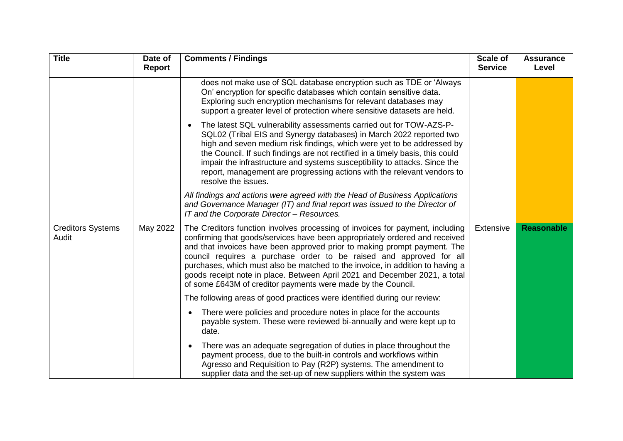| <b>Title</b>                      | Date of<br><b>Report</b> | <b>Comments / Findings</b>                                                                                                                                                                                                                                                                                                                                                                                                                                                                                                                     | <b>Scale of</b><br><b>Service</b> | <b>Assurance</b><br>Level |
|-----------------------------------|--------------------------|------------------------------------------------------------------------------------------------------------------------------------------------------------------------------------------------------------------------------------------------------------------------------------------------------------------------------------------------------------------------------------------------------------------------------------------------------------------------------------------------------------------------------------------------|-----------------------------------|---------------------------|
|                                   |                          | does not make use of SQL database encryption such as TDE or 'Always<br>On' encryption for specific databases which contain sensitive data.<br>Exploring such encryption mechanisms for relevant databases may<br>support a greater level of protection where sensitive datasets are held.                                                                                                                                                                                                                                                      |                                   |                           |
|                                   |                          | The latest SQL vulnerability assessments carried out for TOW-AZS-P-<br>$\bullet$<br>SQL02 (Tribal EIS and Synergy databases) in March 2022 reported two<br>high and seven medium risk findings, which were yet to be addressed by<br>the Council. If such findings are not rectified in a timely basis, this could<br>impair the infrastructure and systems susceptibility to attacks. Since the<br>report, management are progressing actions with the relevant vendors to<br>resolve the issues.                                             |                                   |                           |
|                                   |                          | All findings and actions were agreed with the Head of Business Applications<br>and Governance Manager (IT) and final report was issued to the Director of<br>IT and the Corporate Director - Resources.                                                                                                                                                                                                                                                                                                                                        |                                   |                           |
| <b>Creditors Systems</b><br>Audit | May 2022                 | The Creditors function involves processing of invoices for payment, including<br>confirming that goods/services have been appropriately ordered and received<br>and that invoices have been approved prior to making prompt payment. The<br>council requires a purchase order to be raised and approved for all<br>purchases, which must also be matched to the invoice, in addition to having a<br>goods receipt note in place. Between April 2021 and December 2021, a total<br>of some £643M of creditor payments were made by the Council. | Extensive                         | <b>Reasonable</b>         |
|                                   |                          | The following areas of good practices were identified during our review:                                                                                                                                                                                                                                                                                                                                                                                                                                                                       |                                   |                           |
|                                   |                          | There were policies and procedure notes in place for the accounts<br>$\bullet$<br>payable system. These were reviewed bi-annually and were kept up to<br>date.                                                                                                                                                                                                                                                                                                                                                                                 |                                   |                           |
|                                   |                          | There was an adequate segregation of duties in place throughout the<br>$\bullet$<br>payment process, due to the built-in controls and workflows within<br>Agresso and Requisition to Pay (R2P) systems. The amendment to<br>supplier data and the set-up of new suppliers within the system was                                                                                                                                                                                                                                                |                                   |                           |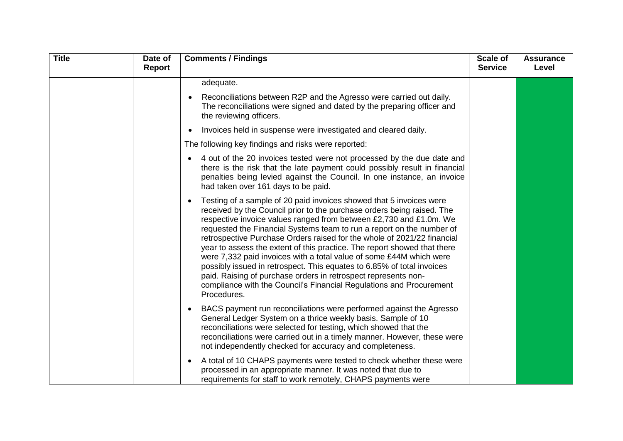| <b>Title</b> | Date of<br><b>Report</b> | <b>Comments / Findings</b>                                                                                                                                                                                                                                                                                                                                                                                                                                                                                                                                                                                                                                                                                                                                   | <b>Scale of</b><br><b>Service</b> | <b>Assurance</b><br>Level |
|--------------|--------------------------|--------------------------------------------------------------------------------------------------------------------------------------------------------------------------------------------------------------------------------------------------------------------------------------------------------------------------------------------------------------------------------------------------------------------------------------------------------------------------------------------------------------------------------------------------------------------------------------------------------------------------------------------------------------------------------------------------------------------------------------------------------------|-----------------------------------|---------------------------|
|              |                          | adequate.                                                                                                                                                                                                                                                                                                                                                                                                                                                                                                                                                                                                                                                                                                                                                    |                                   |                           |
|              |                          | Reconciliations between R2P and the Agresso were carried out daily.<br>The reconciliations were signed and dated by the preparing officer and<br>the reviewing officers.                                                                                                                                                                                                                                                                                                                                                                                                                                                                                                                                                                                     |                                   |                           |
|              |                          | Invoices held in suspense were investigated and cleared daily.                                                                                                                                                                                                                                                                                                                                                                                                                                                                                                                                                                                                                                                                                               |                                   |                           |
|              |                          | The following key findings and risks were reported:                                                                                                                                                                                                                                                                                                                                                                                                                                                                                                                                                                                                                                                                                                          |                                   |                           |
|              |                          | • 4 out of the 20 invoices tested were not processed by the due date and<br>there is the risk that the late payment could possibly result in financial<br>penalties being levied against the Council. In one instance, an invoice<br>had taken over 161 days to be paid.                                                                                                                                                                                                                                                                                                                                                                                                                                                                                     |                                   |                           |
|              |                          | Testing of a sample of 20 paid invoices showed that 5 invoices were<br>received by the Council prior to the purchase orders being raised. The<br>respective invoice values ranged from between £2,730 and £1.0m. We<br>requested the Financial Systems team to run a report on the number of<br>retrospective Purchase Orders raised for the whole of 2021/22 financial<br>year to assess the extent of this practice. The report showed that there<br>were 7,332 paid invoices with a total value of some £44M which were<br>possibly issued in retrospect. This equates to 6.85% of total invoices<br>paid. Raising of purchase orders in retrospect represents non-<br>compliance with the Council's Financial Regulations and Procurement<br>Procedures. |                                   |                           |
|              |                          | BACS payment run reconciliations were performed against the Agresso<br>$\bullet$<br>General Ledger System on a thrice weekly basis. Sample of 10<br>reconciliations were selected for testing, which showed that the<br>reconciliations were carried out in a timely manner. However, these were<br>not independently checked for accuracy and completeness.                                                                                                                                                                                                                                                                                                                                                                                                 |                                   |                           |
|              |                          | A total of 10 CHAPS payments were tested to check whether these were<br>processed in an appropriate manner. It was noted that due to<br>requirements for staff to work remotely, CHAPS payments were                                                                                                                                                                                                                                                                                                                                                                                                                                                                                                                                                         |                                   |                           |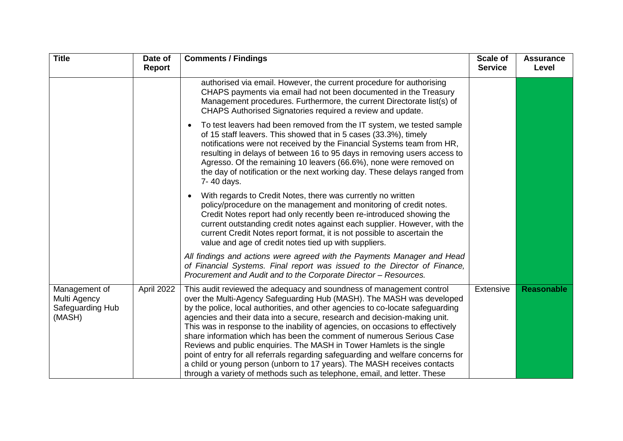| <b>Title</b>                                                | Date of<br>Report | <b>Comments / Findings</b>                                                                                                                                                                                                                                                                                                                                                                                                                                                                                                                                                                                                                                                                                                                                                                   | <b>Scale of</b><br><b>Service</b> | <b>Assurance</b><br>Level |
|-------------------------------------------------------------|-------------------|----------------------------------------------------------------------------------------------------------------------------------------------------------------------------------------------------------------------------------------------------------------------------------------------------------------------------------------------------------------------------------------------------------------------------------------------------------------------------------------------------------------------------------------------------------------------------------------------------------------------------------------------------------------------------------------------------------------------------------------------------------------------------------------------|-----------------------------------|---------------------------|
|                                                             |                   | authorised via email. However, the current procedure for authorising<br>CHAPS payments via email had not been documented in the Treasury<br>Management procedures. Furthermore, the current Directorate list(s) of<br>CHAPS Authorised Signatories required a review and update.                                                                                                                                                                                                                                                                                                                                                                                                                                                                                                             |                                   |                           |
|                                                             |                   | To test leavers had been removed from the IT system, we tested sample<br>$\bullet$<br>of 15 staff leavers. This showed that in 5 cases (33.3%), timely<br>notifications were not received by the Financial Systems team from HR,<br>resulting in delays of between 16 to 95 days in removing users access to<br>Agresso. Of the remaining 10 leavers (66.6%), none were removed on<br>the day of notification or the next working day. These delays ranged from<br>7-40 days.                                                                                                                                                                                                                                                                                                                |                                   |                           |
|                                                             |                   | With regards to Credit Notes, there was currently no written<br>policy/procedure on the management and monitoring of credit notes.<br>Credit Notes report had only recently been re-introduced showing the<br>current outstanding credit notes against each supplier. However, with the<br>current Credit Notes report format, it is not possible to ascertain the<br>value and age of credit notes tied up with suppliers.                                                                                                                                                                                                                                                                                                                                                                  |                                   |                           |
|                                                             |                   | All findings and actions were agreed with the Payments Manager and Head<br>of Financial Systems. Final report was issued to the Director of Finance,<br>Procurement and Audit and to the Corporate Director - Resources.                                                                                                                                                                                                                                                                                                                                                                                                                                                                                                                                                                     |                                   |                           |
| Management of<br>Multi Agency<br>Safeguarding Hub<br>(MASH) | April 2022        | This audit reviewed the adequacy and soundness of management control<br>over the Multi-Agency Safeguarding Hub (MASH). The MASH was developed<br>by the police, local authorities, and other agencies to co-locate safeguarding<br>agencies and their data into a secure, research and decision-making unit.<br>This was in response to the inability of agencies, on occasions to effectively<br>share information which has been the comment of numerous Serious Case<br>Reviews and public enquiries. The MASH in Tower Hamlets is the single<br>point of entry for all referrals regarding safeguarding and welfare concerns for<br>a child or young person (unborn to 17 years). The MASH receives contacts<br>through a variety of methods such as telephone, email, and letter. These | Extensive                         | <b>Reasonable</b>         |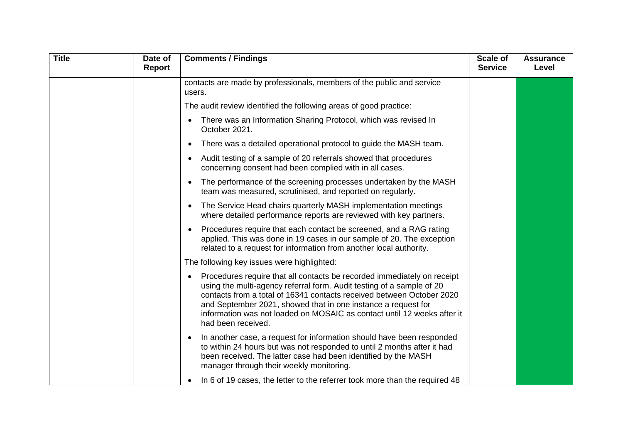| <b>Title</b> | Date of<br><b>Report</b> | <b>Comments / Findings</b>                                                                                                                                                                                                                                                                                                                                                                               | <b>Scale of</b><br><b>Service</b> | <b>Assurance</b><br>Level |
|--------------|--------------------------|----------------------------------------------------------------------------------------------------------------------------------------------------------------------------------------------------------------------------------------------------------------------------------------------------------------------------------------------------------------------------------------------------------|-----------------------------------|---------------------------|
|              |                          | contacts are made by professionals, members of the public and service<br>users.                                                                                                                                                                                                                                                                                                                          |                                   |                           |
|              |                          | The audit review identified the following areas of good practice:                                                                                                                                                                                                                                                                                                                                        |                                   |                           |
|              |                          | There was an Information Sharing Protocol, which was revised In<br>October 2021.                                                                                                                                                                                                                                                                                                                         |                                   |                           |
|              |                          | There was a detailed operational protocol to guide the MASH team.<br>$\bullet$                                                                                                                                                                                                                                                                                                                           |                                   |                           |
|              |                          | Audit testing of a sample of 20 referrals showed that procedures<br>concerning consent had been complied with in all cases.                                                                                                                                                                                                                                                                              |                                   |                           |
|              |                          | The performance of the screening processes undertaken by the MASH<br>$\bullet$<br>team was measured, scrutinised, and reported on regularly.                                                                                                                                                                                                                                                             |                                   |                           |
|              |                          | The Service Head chairs quarterly MASH implementation meetings<br>where detailed performance reports are reviewed with key partners.                                                                                                                                                                                                                                                                     |                                   |                           |
|              |                          | Procedures require that each contact be screened, and a RAG rating<br>$\bullet$<br>applied. This was done in 19 cases in our sample of 20. The exception<br>related to a request for information from another local authority.                                                                                                                                                                           |                                   |                           |
|              |                          | The following key issues were highlighted:                                                                                                                                                                                                                                                                                                                                                               |                                   |                           |
|              |                          | Procedures require that all contacts be recorded immediately on receipt<br>$\bullet$<br>using the multi-agency referral form. Audit testing of a sample of 20<br>contacts from a total of 16341 contacts received between October 2020<br>and September 2021, showed that in one instance a request for<br>information was not loaded on MOSAIC as contact until 12 weeks after it<br>had been received. |                                   |                           |
|              |                          | In another case, a request for information should have been responded<br>$\bullet$<br>to within 24 hours but was not responded to until 2 months after it had<br>been received. The latter case had been identified by the MASH<br>manager through their weekly monitoring.                                                                                                                              |                                   |                           |
|              |                          | In 6 of 19 cases, the letter to the referrer took more than the required 48                                                                                                                                                                                                                                                                                                                              |                                   |                           |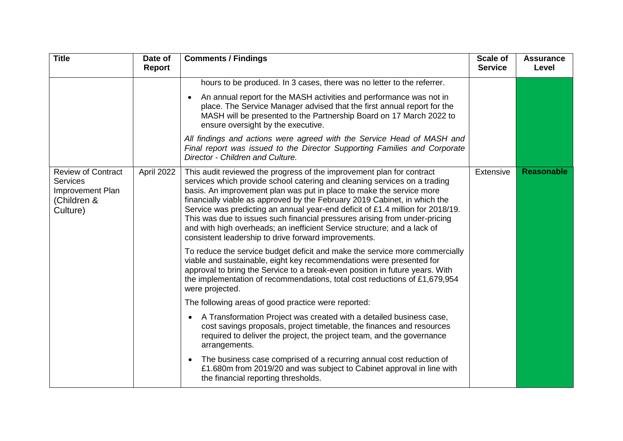| <b>Title</b>                                                                         | Date of<br><b>Report</b> | <b>Comments / Findings</b>                                                                                                                                                                                                                                                                                                                                                                                                                                                                                                                                                                                  | Scale of<br><b>Service</b> | <b>Assurance</b><br>Level |
|--------------------------------------------------------------------------------------|--------------------------|-------------------------------------------------------------------------------------------------------------------------------------------------------------------------------------------------------------------------------------------------------------------------------------------------------------------------------------------------------------------------------------------------------------------------------------------------------------------------------------------------------------------------------------------------------------------------------------------------------------|----------------------------|---------------------------|
|                                                                                      |                          | hours to be produced. In 3 cases, there was no letter to the referrer.                                                                                                                                                                                                                                                                                                                                                                                                                                                                                                                                      |                            |                           |
|                                                                                      |                          | An annual report for the MASH activities and performance was not in<br>place. The Service Manager advised that the first annual report for the<br>MASH will be presented to the Partnership Board on 17 March 2022 to<br>ensure oversight by the executive.                                                                                                                                                                                                                                                                                                                                                 |                            |                           |
|                                                                                      |                          | All findings and actions were agreed with the Service Head of MASH and<br>Final report was issued to the Director Supporting Families and Corporate<br>Director - Children and Culture.                                                                                                                                                                                                                                                                                                                                                                                                                     |                            |                           |
| <b>Review of Contract</b><br>Services<br>Improvement Plan<br>(Children &<br>Culture) | April 2022               | This audit reviewed the progress of the improvement plan for contract<br>services which provide school catering and cleaning services on a trading<br>basis. An improvement plan was put in place to make the service more<br>financially viable as approved by the February 2019 Cabinet, in which the<br>Service was predicting an annual year-end deficit of £1.4 million for 2018/19.<br>This was due to issues such financial pressures arising from under-pricing<br>and with high overheads; an inefficient Service structure; and a lack of<br>consistent leadership to drive forward improvements. | Extensive                  | <b>Reasonable</b>         |
|                                                                                      |                          | To reduce the service budget deficit and make the service more commercially<br>viable and sustainable, eight key recommendations were presented for<br>approval to bring the Service to a break-even position in future years. With<br>the implementation of recommendations, total cost reductions of £1,679,954<br>were projected.                                                                                                                                                                                                                                                                        |                            |                           |
|                                                                                      |                          | The following areas of good practice were reported:                                                                                                                                                                                                                                                                                                                                                                                                                                                                                                                                                         |                            |                           |
|                                                                                      |                          | A Transformation Project was created with a detailed business case,<br>$\bullet$<br>cost savings proposals, project timetable, the finances and resources<br>required to deliver the project, the project team, and the governance<br>arrangements.                                                                                                                                                                                                                                                                                                                                                         |                            |                           |
|                                                                                      |                          | The business case comprised of a recurring annual cost reduction of<br>$\bullet$<br>£1.680m from 2019/20 and was subject to Cabinet approval in line with<br>the financial reporting thresholds.                                                                                                                                                                                                                                                                                                                                                                                                            |                            |                           |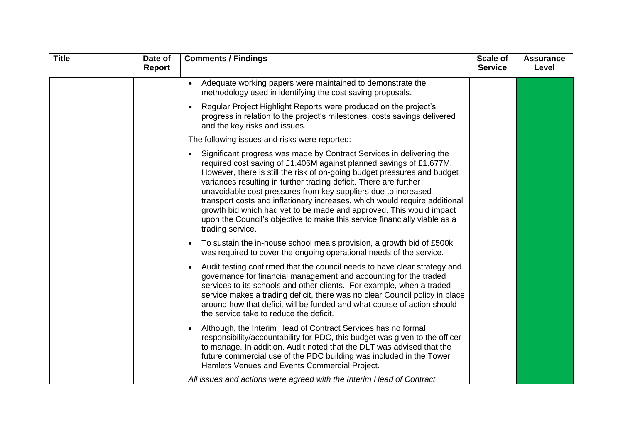| <b>Title</b> | Date of<br><b>Report</b> | <b>Comments / Findings</b>                                                                                                                                                                                                                                                                                                                                                                                                                                                                                                                                                                                           | Scale of<br><b>Service</b> | <b>Assurance</b><br>Level |
|--------------|--------------------------|----------------------------------------------------------------------------------------------------------------------------------------------------------------------------------------------------------------------------------------------------------------------------------------------------------------------------------------------------------------------------------------------------------------------------------------------------------------------------------------------------------------------------------------------------------------------------------------------------------------------|----------------------------|---------------------------|
|              |                          | Adequate working papers were maintained to demonstrate the<br>$\bullet$<br>methodology used in identifying the cost saving proposals.                                                                                                                                                                                                                                                                                                                                                                                                                                                                                |                            |                           |
|              |                          | Regular Project Highlight Reports were produced on the project's<br>progress in relation to the project's milestones, costs savings delivered<br>and the key risks and issues.                                                                                                                                                                                                                                                                                                                                                                                                                                       |                            |                           |
|              |                          | The following issues and risks were reported:                                                                                                                                                                                                                                                                                                                                                                                                                                                                                                                                                                        |                            |                           |
|              |                          | Significant progress was made by Contract Services in delivering the<br>required cost saving of £1.406M against planned savings of £1.677M.<br>However, there is still the risk of on-going budget pressures and budget<br>variances resulting in further trading deficit. There are further<br>unavoidable cost pressures from key suppliers due to increased<br>transport costs and inflationary increases, which would require additional<br>growth bid which had yet to be made and approved. This would impact<br>upon the Council's objective to make this service financially viable as a<br>trading service. |                            |                           |
|              |                          | To sustain the in-house school meals provision, a growth bid of £500k<br>was required to cover the ongoing operational needs of the service.                                                                                                                                                                                                                                                                                                                                                                                                                                                                         |                            |                           |
|              |                          | Audit testing confirmed that the council needs to have clear strategy and<br>$\bullet$<br>governance for financial management and accounting for the traded<br>services to its schools and other clients. For example, when a traded<br>service makes a trading deficit, there was no clear Council policy in place<br>around how that deficit will be funded and what course of action should<br>the service take to reduce the deficit.                                                                                                                                                                            |                            |                           |
|              |                          | Although, the Interim Head of Contract Services has no formal<br>$\bullet$<br>responsibility/accountability for PDC, this budget was given to the officer<br>to manage. In addition. Audit noted that the DLT was advised that the<br>future commercial use of the PDC building was included in the Tower<br>Hamlets Venues and Events Commercial Project.                                                                                                                                                                                                                                                           |                            |                           |
|              |                          | All issues and actions were agreed with the Interim Head of Contract                                                                                                                                                                                                                                                                                                                                                                                                                                                                                                                                                 |                            |                           |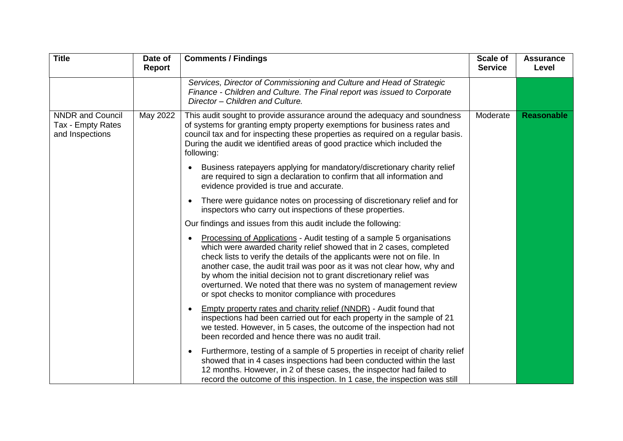| <b>Title</b>                                                    | Date of<br><b>Report</b> | <b>Comments / Findings</b>                                                                                                                                                                                                                                                                                                                                                                                                                                                                               | Scale of<br><b>Service</b> | <b>Assurance</b><br>Level |
|-----------------------------------------------------------------|--------------------------|----------------------------------------------------------------------------------------------------------------------------------------------------------------------------------------------------------------------------------------------------------------------------------------------------------------------------------------------------------------------------------------------------------------------------------------------------------------------------------------------------------|----------------------------|---------------------------|
|                                                                 |                          | Services, Director of Commissioning and Culture and Head of Strategic<br>Finance - Children and Culture. The Final report was issued to Corporate<br>Director - Children and Culture.                                                                                                                                                                                                                                                                                                                    |                            |                           |
| <b>NNDR and Council</b><br>Tax - Empty Rates<br>and Inspections | May 2022                 | This audit sought to provide assurance around the adequacy and soundness<br>of systems for granting empty property exemptions for business rates and<br>council tax and for inspecting these properties as required on a regular basis.<br>During the audit we identified areas of good practice which included the<br>following:                                                                                                                                                                        | Moderate                   | <b>Reasonable</b>         |
|                                                                 |                          | Business ratepayers applying for mandatory/discretionary charity relief<br>are required to sign a declaration to confirm that all information and<br>evidence provided is true and accurate.                                                                                                                                                                                                                                                                                                             |                            |                           |
|                                                                 |                          | There were guidance notes on processing of discretionary relief and for<br>inspectors who carry out inspections of these properties.                                                                                                                                                                                                                                                                                                                                                                     |                            |                           |
|                                                                 |                          | Our findings and issues from this audit include the following:                                                                                                                                                                                                                                                                                                                                                                                                                                           |                            |                           |
|                                                                 |                          | Processing of Applications - Audit testing of a sample 5 organisations<br>which were awarded charity relief showed that in 2 cases, completed<br>check lists to verify the details of the applicants were not on file. In<br>another case, the audit trail was poor as it was not clear how, why and<br>by whom the initial decision not to grant discretionary relief was<br>overturned. We noted that there was no system of management review<br>or spot checks to monitor compliance with procedures |                            |                           |
|                                                                 |                          | <b>Empty property rates and charity relief (NNDR)</b> - Audit found that<br>$\bullet$<br>inspections had been carried out for each property in the sample of 21<br>we tested. However, in 5 cases, the outcome of the inspection had not<br>been recorded and hence there was no audit trail.                                                                                                                                                                                                            |                            |                           |
|                                                                 |                          | Furthermore, testing of a sample of 5 properties in receipt of charity relief<br>$\bullet$<br>showed that in 4 cases inspections had been conducted within the last<br>12 months. However, in 2 of these cases, the inspector had failed to<br>record the outcome of this inspection. In 1 case, the inspection was still                                                                                                                                                                                |                            |                           |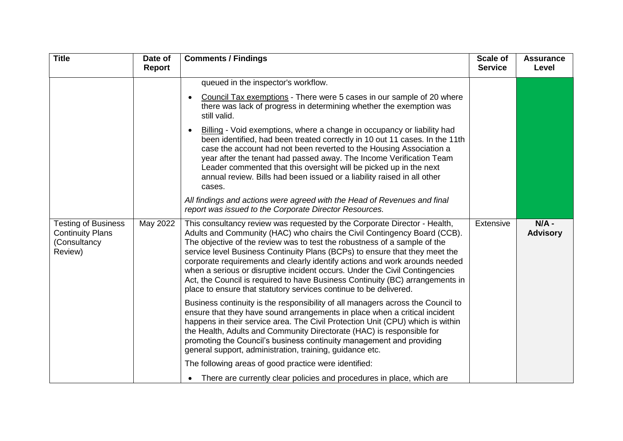| <b>Title</b>                                                                     | Date of<br>Report | <b>Comments / Findings</b>                                                                                                                                                                                                                                                                                                                                                                                                                                                                                                                                                                                                            | <b>Scale of</b><br><b>Service</b> | <b>Assurance</b><br>Level  |
|----------------------------------------------------------------------------------|-------------------|---------------------------------------------------------------------------------------------------------------------------------------------------------------------------------------------------------------------------------------------------------------------------------------------------------------------------------------------------------------------------------------------------------------------------------------------------------------------------------------------------------------------------------------------------------------------------------------------------------------------------------------|-----------------------------------|----------------------------|
|                                                                                  |                   | queued in the inspector's workflow.<br>Council Tax exemptions - There were 5 cases in our sample of 20 where<br>$\bullet$<br>there was lack of progress in determining whether the exemption was<br>still valid.<br>Billing - Void exemptions, where a change in occupancy or liability had<br>$\bullet$<br>been identified, had been treated correctly in 10 out 11 cases. In the 11th<br>case the account had not been reverted to the Housing Association a<br>year after the tenant had passed away. The Income Verification Team<br>Leader commented that this oversight will be picked up in the next                           |                                   |                            |
|                                                                                  |                   | annual review. Bills had been issued or a liability raised in all other<br>cases.<br>All findings and actions were agreed with the Head of Revenues and final<br>report was issued to the Corporate Director Resources.                                                                                                                                                                                                                                                                                                                                                                                                               |                                   |                            |
| <b>Testing of Business</b><br><b>Continuity Plans</b><br>(Consultancy<br>Review) | May 2022          | This consultancy review was requested by the Corporate Director - Health,<br>Adults and Community (HAC) who chairs the Civil Contingency Board (CCB).<br>The objective of the review was to test the robustness of a sample of the<br>service level Business Continuity Plans (BCPs) to ensure that they meet the<br>corporate requirements and clearly identify actions and work arounds needed<br>when a serious or disruptive incident occurs. Under the Civil Contingencies<br>Act, the Council is required to have Business Continuity (BC) arrangements in<br>place to ensure that statutory services continue to be delivered. | Extensive                         | $N/A -$<br><b>Advisory</b> |
|                                                                                  |                   | Business continuity is the responsibility of all managers across the Council to<br>ensure that they have sound arrangements in place when a critical incident<br>happens in their service area. The Civil Protection Unit (CPU) which is within<br>the Health, Adults and Community Directorate (HAC) is responsible for<br>promoting the Council's business continuity management and providing<br>general support, administration, training, guidance etc.                                                                                                                                                                          |                                   |                            |
|                                                                                  |                   | The following areas of good practice were identified:<br>There are currently clear policies and procedures in place, which are<br>$\bullet$                                                                                                                                                                                                                                                                                                                                                                                                                                                                                           |                                   |                            |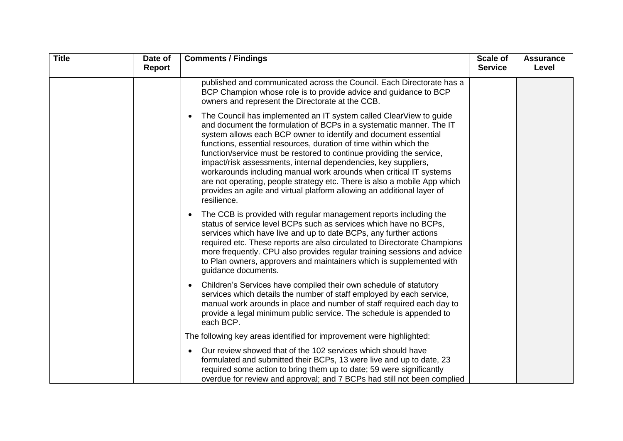| <b>Title</b> | Date of<br>Report | <b>Comments / Findings</b>                                                                                                                                                                                                                                                                                                                                                                                                                                                                                                                                                                                                                                                          | <b>Scale of</b><br><b>Service</b> | <b>Assurance</b><br>Level |
|--------------|-------------------|-------------------------------------------------------------------------------------------------------------------------------------------------------------------------------------------------------------------------------------------------------------------------------------------------------------------------------------------------------------------------------------------------------------------------------------------------------------------------------------------------------------------------------------------------------------------------------------------------------------------------------------------------------------------------------------|-----------------------------------|---------------------------|
|              |                   | published and communicated across the Council. Each Directorate has a<br>BCP Champion whose role is to provide advice and guidance to BCP<br>owners and represent the Directorate at the CCB.                                                                                                                                                                                                                                                                                                                                                                                                                                                                                       |                                   |                           |
|              |                   | The Council has implemented an IT system called ClearView to guide<br>$\bullet$<br>and document the formulation of BCPs in a systematic manner. The IT<br>system allows each BCP owner to identify and document essential<br>functions, essential resources, duration of time within which the<br>function/service must be restored to continue providing the service,<br>impact/risk assessments, internal dependencies, key suppliers,<br>workarounds including manual work arounds when critical IT systems<br>are not operating, people strategy etc. There is also a mobile App which<br>provides an agile and virtual platform allowing an additional layer of<br>resilience. |                                   |                           |
|              |                   | The CCB is provided with regular management reports including the<br>status of service level BCPs such as services which have no BCPs,<br>services which have live and up to date BCPs, any further actions<br>required etc. These reports are also circulated to Directorate Champions<br>more frequently. CPU also provides regular training sessions and advice<br>to Plan owners, approvers and maintainers which is supplemented with<br>guidance documents.                                                                                                                                                                                                                   |                                   |                           |
|              |                   | Children's Services have compiled their own schedule of statutory<br>$\bullet$<br>services which details the number of staff employed by each service,<br>manual work arounds in place and number of staff required each day to<br>provide a legal minimum public service. The schedule is appended to<br>each BCP.                                                                                                                                                                                                                                                                                                                                                                 |                                   |                           |
|              |                   | The following key areas identified for improvement were highlighted:                                                                                                                                                                                                                                                                                                                                                                                                                                                                                                                                                                                                                |                                   |                           |
|              |                   | Our review showed that of the 102 services which should have<br>formulated and submitted their BCPs, 13 were live and up to date, 23<br>required some action to bring them up to date; 59 were significantly<br>overdue for review and approval; and 7 BCPs had still not been complied                                                                                                                                                                                                                                                                                                                                                                                             |                                   |                           |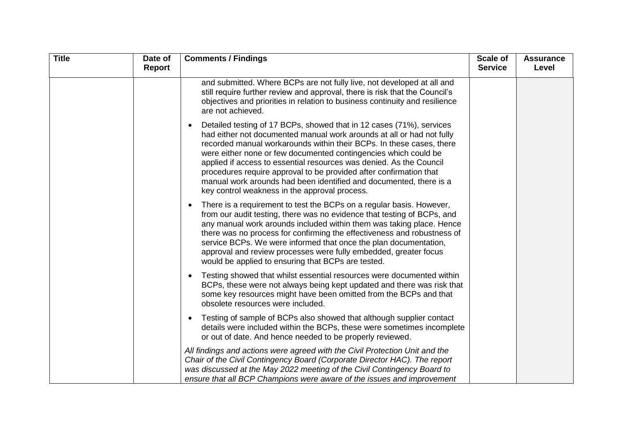| <b>Title</b> | Date of<br><b>Report</b> | <b>Comments / Findings</b>                                                                                                                                                                                                                                                                                                                                                                                                                                                                                                                                   | <b>Scale of</b><br><b>Service</b> | <b>Assurance</b><br>Level |
|--------------|--------------------------|--------------------------------------------------------------------------------------------------------------------------------------------------------------------------------------------------------------------------------------------------------------------------------------------------------------------------------------------------------------------------------------------------------------------------------------------------------------------------------------------------------------------------------------------------------------|-----------------------------------|---------------------------|
|              |                          | and submitted. Where BCPs are not fully live, not developed at all and<br>still require further review and approval, there is risk that the Council's<br>objectives and priorities in relation to business continuity and resilience<br>are not achieved.                                                                                                                                                                                                                                                                                                    |                                   |                           |
|              |                          | Detailed testing of 17 BCPs, showed that in 12 cases (71%), services<br>had either not documented manual work arounds at all or had not fully<br>recorded manual workarounds within their BCPs. In these cases, there<br>were either none or few documented contingencies which could be<br>applied if access to essential resources was denied. As the Council<br>procedures require approval to be provided after confirmation that<br>manual work arounds had been identified and documented, there is a<br>key control weakness in the approval process. |                                   |                           |
|              |                          | There is a requirement to test the BCPs on a regular basis. However,<br>from our audit testing, there was no evidence that testing of BCPs, and<br>any manual work arounds included within them was taking place. Hence<br>there was no process for confirming the effectiveness and robustness of<br>service BCPs. We were informed that once the plan documentation,<br>approval and review processes were fully embedded, greater focus<br>would be applied to ensuring that BCPs are tested.                                                             |                                   |                           |
|              |                          | Testing showed that whilst essential resources were documented within<br>$\bullet$<br>BCPs, these were not always being kept updated and there was risk that<br>some key resources might have been omitted from the BCPs and that<br>obsolete resources were included.                                                                                                                                                                                                                                                                                       |                                   |                           |
|              |                          | Testing of sample of BCPs also showed that although supplier contact<br>details were included within the BCPs, these were sometimes incomplete<br>or out of date. And hence needed to be properly reviewed.                                                                                                                                                                                                                                                                                                                                                  |                                   |                           |
|              |                          | All findings and actions were agreed with the Civil Protection Unit and the<br>Chair of the Civil Contingency Board (Corporate Director HAC). The report<br>was discussed at the May 2022 meeting of the Civil Contingency Board to<br>ensure that all BCP Champions were aware of the issues and improvement                                                                                                                                                                                                                                                |                                   |                           |